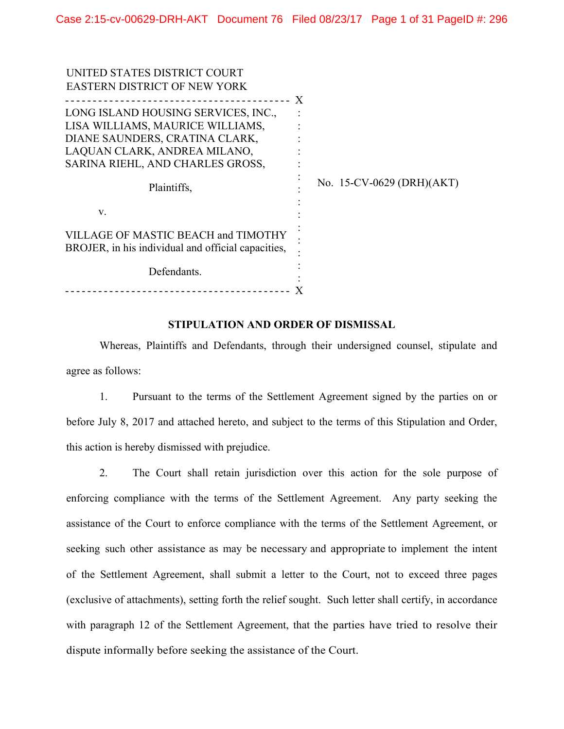| UNITED STATES DISTRICT COURT                                                              |   |                           |
|-------------------------------------------------------------------------------------------|---|---------------------------|
| <b>EASTERN DISTRICT OF NEW YORK</b>                                                       |   |                           |
|                                                                                           | X |                           |
| LONG ISLAND HOUSING SERVICES, INC.,                                                       |   |                           |
| LISA WILLIAMS, MAURICE WILLIAMS,                                                          |   |                           |
| DIANE SAUNDERS, CRATINA CLARK,                                                            |   |                           |
| LAQUAN CLARK, ANDREA MILANO,                                                              |   |                           |
| SARINA RIEHL, AND CHARLES GROSS,                                                          |   |                           |
| Plaintiffs,                                                                               |   | No. 15-CV-0629 (DRH)(AKT) |
| V.                                                                                        |   |                           |
| VILLAGE OF MASTIC BEACH and TIMOTHY<br>BROJER, in his individual and official capacities, |   |                           |
| Defendants.                                                                               |   |                           |
|                                                                                           |   |                           |

#### **STIPULATION AND ORDER OF DISMISSAL**

Whereas, Plaintiffs and Defendants, through their undersigned counsel, stipulate and agree as follows:

1. Pursuant to the terms of the Settlement Agreement signed by the parties on or before July 8, 2017 and attached hereto, and subject to the terms of this Stipulation and Order, this action is hereby dismissed with prejudice.

2. The Court shall retain jurisdiction over this action for the sole purpose of enforcing compliance with the terms of the Settlement Agreement. Any party seeking the assistance of the Court to enforce compliance with the terms of the Settlement Agreement, or seeking such other assistance as may be necessary and appropriate to implement the intent of the Settlement Agreement, shall submit a letter to the Court, not to exceed three pages (exclusive of attachments), setting forth the relief sought. Such letter shall certify, in accordance with paragraph 12 of the Settlement Agreement, that the parties have tried to resolve their dispute informally before seeking the assistance of the Court.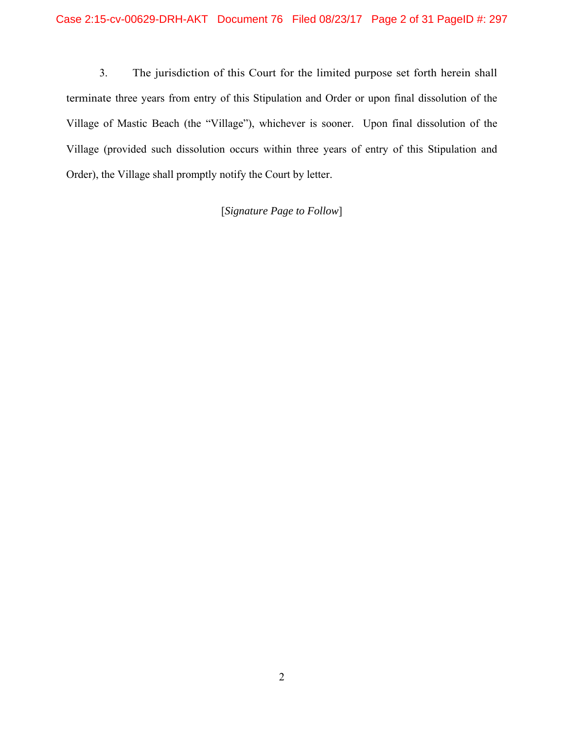3. The jurisdiction of this Court for the limited purpose set forth herein shall terminate three years from entry of this Stipulation and Order or upon final dissolution of the Village of Mastic Beach (the "Village"), whichever is sooner. Upon final dissolution of the Village (provided such dissolution occurs within three years of entry of this Stipulation and Order), the Village shall promptly notify the Court by letter.

[*Signature Page to Follow*]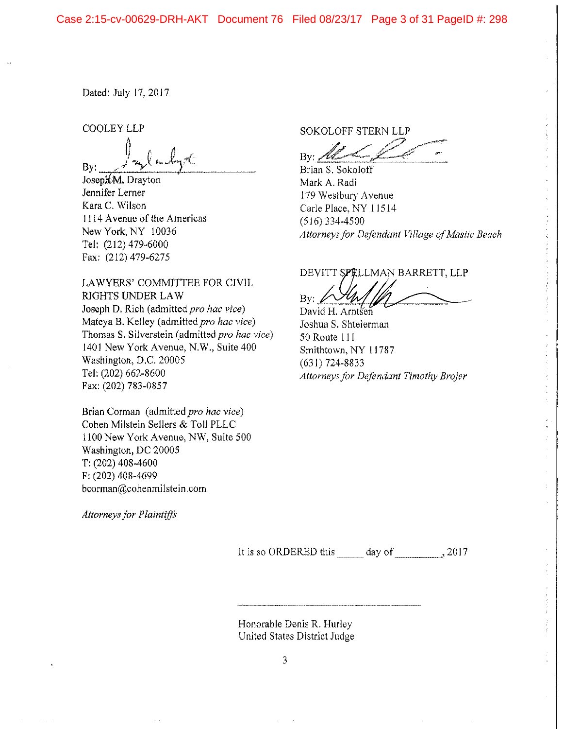Dated: July 17, 2017

**COOLEY LLP** 

Bv:

Joseph M. Drayton Jennifer Lerner Kara C. Wilson 1114 Avenue of the Americas New York, NY 10036 Tel: (212) 479-6000 Fax: (212) 479-6275

LAWYERS' COMMITTEE FOR CIVIL RIGHTS UNDER LAW Joseph D. Rich (admitted pro hac vice) Mateya B. Kelley (admitted pro hac vice) Thomas S. Silverstein (admitted pro hac vice) 1401 New York Avenue, N.W., Suite 400 Washington, D.C. 20005 Tel: (202) 662-8600 Fax: (202) 783-0857

Brian Corman (admitted pro hac vice) Cohen Milstein Sellers & Toll PLLC 1100 New York Avenue, NW, Suite 500 Washington, DC 20005  $T: (202)$  408-4600 F: (202) 408-4699 bcorman@cohenmilstein.com

**Attorneys for Plaintiffs** 

**SOKOLOFF STERN LLP** 

 $\rm{By}$  /2

Brian S. Sokoloff Mark A. Radi 179 Westbury Avenue Carle Place, NY 11514  $(516)$  334-4500 Attorneys for Defendant Village of Mastic Beach

# DEVITT SPELLMAN BARRETT, LLP

By:

David H. Arntsen Joshua S. Shteierman 50 Route 111 Smithtown, NY 11787  $(631)$  724-8833 Attorneys for Defendant Timothy Brojer

 $\frac{1}{\epsilon}$ 

It is so ORDERED this day of  $\frac{3.2017}{a}$ 

Honorable Denis R. Hurley United States District Judge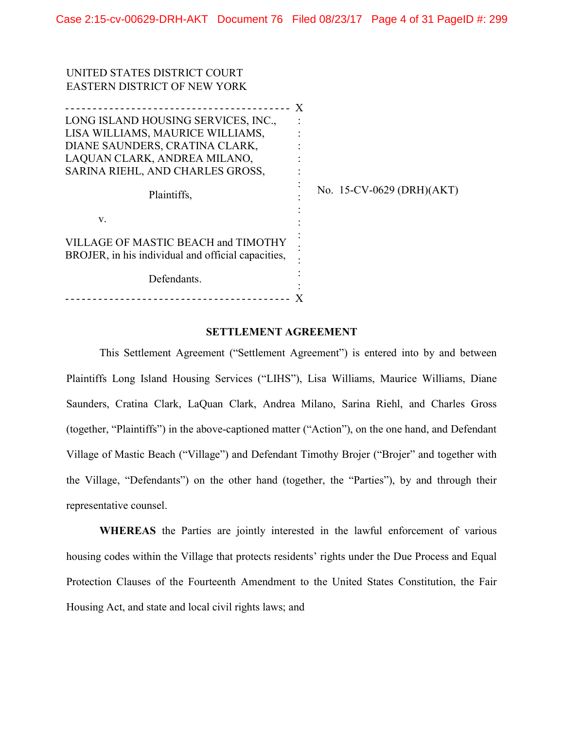| <b>EASTERN DISTRICT OF NEW YORK</b>                                                       |   |                           |
|-------------------------------------------------------------------------------------------|---|---------------------------|
|                                                                                           | X |                           |
| LONG ISLAND HOUSING SERVICES, INC.,                                                       |   |                           |
| LISA WILLIAMS, MAURICE WILLIAMS,                                                          |   |                           |
| DIANE SAUNDERS, CRATINA CLARK,                                                            |   |                           |
| LAQUAN CLARK, ANDREA MILANO,                                                              |   |                           |
| SARINA RIEHL, AND CHARLES GROSS,                                                          |   |                           |
| Plaintiffs,                                                                               |   | No. 15-CV-0629 (DRH)(AKT) |
| V.                                                                                        |   |                           |
| VILLAGE OF MASTIC BEACH and TIMOTHY<br>BROJER, in his individual and official capacities, |   |                           |
| Defendants.                                                                               |   |                           |
| _____________________________                                                             |   |                           |

UNITED STATES DISTRICT COURT

#### SETTLEMENT AGREEMENT

This Settlement Agreement ("Settlement Agreement") is entered into by and between Plaintiffs Long Island Housing Services ("LIHS"), Lisa Williams, Maurice Williams, Diane Saunders, Cratina Clark, LaQuan Clark, Andrea Milano, Sarina Riehl, and Charles Gross (together, "Plaintiffs") in the above-captioned matter ("Action"), on the one hand, and Defendant Village of Mastic Beach ("Village") and Defendant Timothy Brojer ("Brojer" and together with the Village, "Defendants") on the other hand (together, the "Parties"), by and through their representative counsel.

WHEREAS the Parties are jointly interested in the lawful enforcement of various housing codes within the Village that protects residents' rights under the Due Process and Equal Protection Clauses of the Fourteenth Amendment to the United States Constitution, the Fair Housing Act, and state and local civil rights laws; and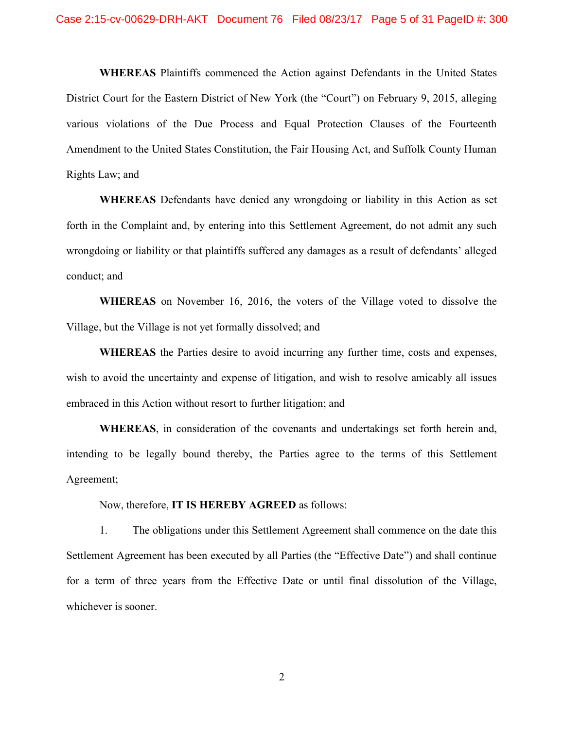WHEREAS Plaintiffs commenced the Action against Defendants in the United States District Court for the Eastern District of New York (the "Court") on February 9, 2015, alleging various violations of the Due Process and Equal Protection Clauses of the Fourteenth Amendment to the United States Constitution, the Fair Housing Act, and Suffolk County Human Rights Law; and

WHEREAS Defendants have denied any wrongdoing or liability in this Action as set forth in the Complaint and, by entering into this Settlement Agreement, do not admit any such wrongdoing or liability or that plaintiffs suffered any damages as a result of defendants' alleged conduct; and

WHEREAS on November 16, 2016, the voters of the Village voted to dissolve the Village, but the Village is not yet formally dissolved; and

WHEREAS the Parties desire to avoid incurring any further time, costs and expenses, wish to avoid the uncertainty and expense of litigation, and wish to resolve amicably all issues embraced in this Action without resort to further litigation; and

WHEREAS, in consideration of the covenants and undertakings set forth herein and, intending to be legally bound thereby, the Parties agree to the terms of this Settlement Agreement;

Now, therefore, IT IS HEREBY AGREED as follows:

1. The obligations under this Settlement Agreement shall commence on the date this Settlement Agreement has been executed by all Parties (the "Effective Date") and shall continue for a term of three years from the Effective Date or until final dissolution of the Village, whichever is sooner.

2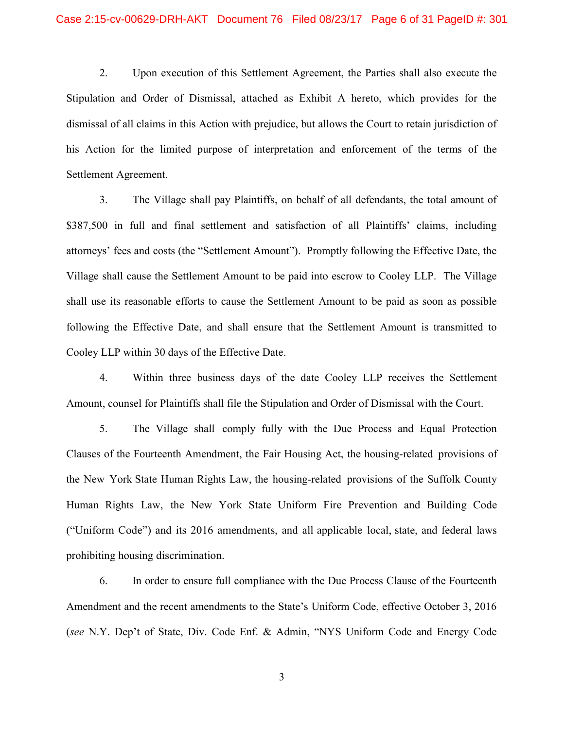2. Upon execution of this Settlement Agreement, the Parties shall also execute the Stipulation and Order of Dismissal, attached as Exhibit A hereto, which provides for the dismissal of all claims in this Action with prejudice, but allows the Court to retain jurisdiction of his Action for the limited purpose of interpretation and enforcement of the terms of the Settlement Agreement.

3. The Village shall pay Plaintiffs, on behalf of all defendants, the total amount of \$387,500 in full and final settlement and satisfaction of all Plaintiffs' claims, including attorneys' fees and costs (the "Settlement Amount"). Promptly following the Effective Date, the Village shall cause the Settlement Amount to be paid into escrow to Cooley LLP. The Village shall use its reasonable efforts to cause the Settlement Amount to be paid as soon as possible following the Effective Date, and shall ensure that the Settlement Amount is transmitted to Cooley LLP within 30 days of the Effective Date.

4. Within three business days of the date Cooley LLP receives the Settlement Amount, counsel for Plaintiffs shall file the Stipulation and Order of Dismissal with the Court.

5. The Village shall comply fully with the Due Process and Equal Protection Clauses of the Fourteenth Amendment, the Fair Housing Act, the housing-related provisions of the New York State Human Rights Law, the housing-related provisions of the Suffolk County Human Rights Law, the New York State Uniform Fire Prevention and Building Code ("Uniform Code") and its 2016 amendments, and all applicable local, state, and federal laws prohibiting housing discrimination.

6. In order to ensure full compliance with the Due Process Clause of the Fourteenth Amendment and the recent amendments to the State's Uniform Code, effective October 3, 2016 (see N.Y. Dep't of State, Div. Code Enf. & Admin, "NYS Uniform Code and Energy Code

3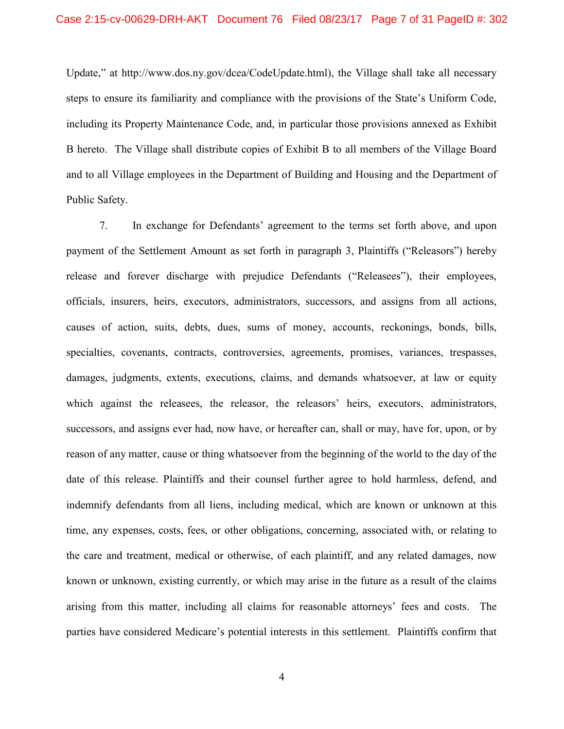Update," at http://www.dos.ny.gov/dcea/CodeUpdate.html), the Village shall take all necessary steps to ensure its familiarity and compliance with the provisions of the State's Uniform Code, including its Property Maintenance Code, and, in particular those provisions annexed as Exhibit B hereto. The Village shall distribute copies of Exhibit B to all members of the Village Board and to all Village employees in the Department of Building and Housing and the Department of Public Safety.

7. In exchange for Defendants' agreement to the terms set forth above, and upon payment of the Settlement Amount as set forth in paragraph 3, Plaintiffs ("Releasors") hereby release and forever discharge with prejudice Defendants ("Releasees"), their employees, officials, insurers, heirs, executors, administrators, successors, and assigns from all actions, causes of action, suits, debts, dues, sums of money, accounts, reckonings, bonds, bills, specialties, covenants, contracts, controversies, agreements, promises, variances, trespasses, damages, judgments, extents, executions, claims, and demands whatsoever, at law or equity which against the releasees, the releasor, the releasors' heirs, executors, administrators, successors, and assigns ever had, now have, or hereafter can, shall or may, have for, upon, or by reason of any matter, cause or thing whatsoever from the beginning of the world to the day of the date of this release. Plaintiffs and their counsel further agree to hold harmless, defend, and indemnify defendants from all liens, including medical, which are known or unknown at this time, any expenses, costs, fees, or other obligations, concerning, associated with, or relating to the care and treatment, medical or otherwise, of each plaintiff, and any related damages, now known or unknown, existing currently, or which may arise in the future as a result of the claims arising from this matter, including all claims for reasonable attorneys' fees and costs. The parties have considered Medicare's potential interests in this settlement. Plaintiffs confirm that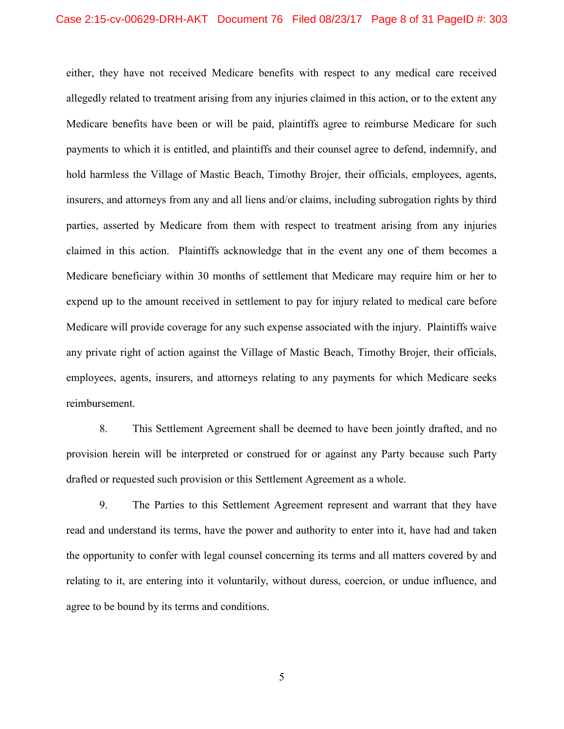either, they have not received Medicare benefits with respect to any medical care received allegedly related to treatment arising from any injuries claimed in this action, or to the extent any Medicare benefits have been or will be paid, plaintiffs agree to reimburse Medicare for such payments to which it is entitled, and plaintiffs and their counsel agree to defend, indemnify, and hold harmless the Village of Mastic Beach, Timothy Brojer, their officials, employees, agents, insurers, and attorneys from any and all liens and/or claims, including subrogation rights by third parties, asserted by Medicare from them with respect to treatment arising from any injuries claimed in this action. Plaintiffs acknowledge that in the event any one of them becomes a Medicare beneficiary within 30 months of settlement that Medicare may require him or her to expend up to the amount received in settlement to pay for injury related to medical care before Medicare will provide coverage for any such expense associated with the injury. Plaintiffs waive any private right of action against the Village of Mastic Beach, Timothy Brojer, their officials, employees, agents, insurers, and attorneys relating to any payments for which Medicare seeks reimbursement.

8. This Settlement Agreement shall be deemed to have been jointly drafted, and no provision herein will be interpreted or construed for or against any Party because such Party drafted or requested such provision or this Settlement Agreement as a whole.

9. The Parties to this Settlement Agreement represent and warrant that they have read and understand its terms, have the power and authority to enter into it, have had and taken the opportunity to confer with legal counsel concerning its terms and all matters covered by and relating to it, are entering into it voluntarily, without duress, coercion, or undue influence, and agree to be bound by its terms and conditions.

5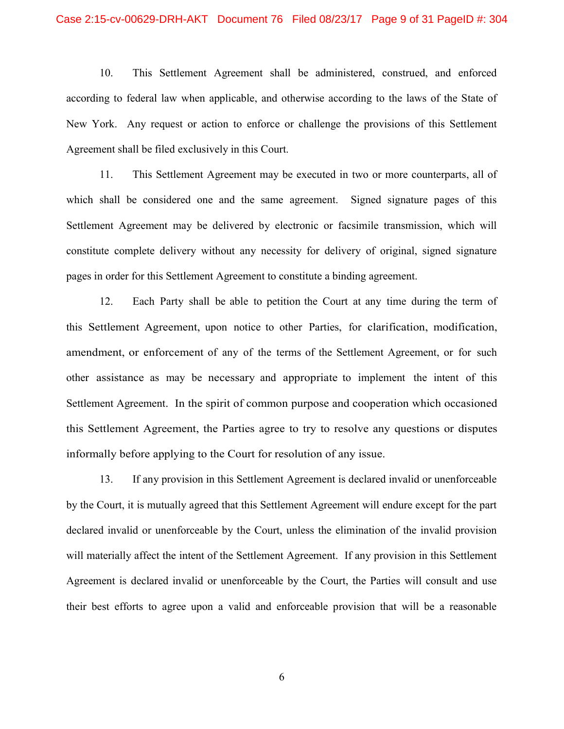10. This Settlement Agreement shall be administered, construed, and enforced according to federal law when applicable, and otherwise according to the laws of the State of New York. Any request or action to enforce or challenge the provisions of this Settlement Agreement shall be filed exclusively in this Court.

11. This Settlement Agreement may be executed in two or more counterparts, all of which shall be considered one and the same agreement. Signed signature pages of this Settlement Agreement may be delivered by electronic or facsimile transmission, which will constitute complete delivery without any necessity for delivery of original, signed signature pages in order for this Settlement Agreement to constitute a binding agreement.

12. Each Party shall be able to petition the Court at any time during the term of this Settlement Agreement, upon notice to other Parties, for clarification, modification, amendment, or enforcement of any of the terms of the Settlement Agreement, or for such other assistance as may be necessary and appropriate to implement the intent of this Settlement Agreement. In the spirit of common purpose and cooperation which occasioned this Settlement Agreement, the Parties agree to try to resolve any questions or disputes informally before applying to the Court for resolution of any issue.

13. If any provision in this Settlement Agreement is declared invalid or unenforceable by the Court, it is mutually agreed that this Settlement Agreement will endure except for the part declared invalid or unenforceable by the Court, unless the elimination of the invalid provision will materially affect the intent of the Settlement Agreement. If any provision in this Settlement Agreement is declared invalid or unenforceable by the Court, the Parties will consult and use their best efforts to agree upon a valid and enforceable provision that will be a reasonable

6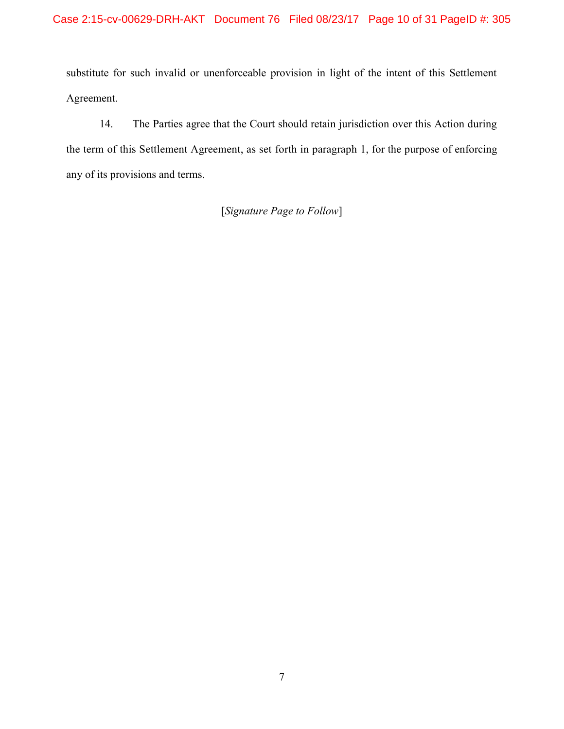substitute for such invalid or unenforceable provision in light of the intent of this Settlement Agreement.

14. The Parties agree that the Court should retain jurisdiction over this Action during the term of this Settlement Agreement, as set forth in paragraph 1, for the purpose of enforcing any of its provisions and terms.

[Signature Page to Follow]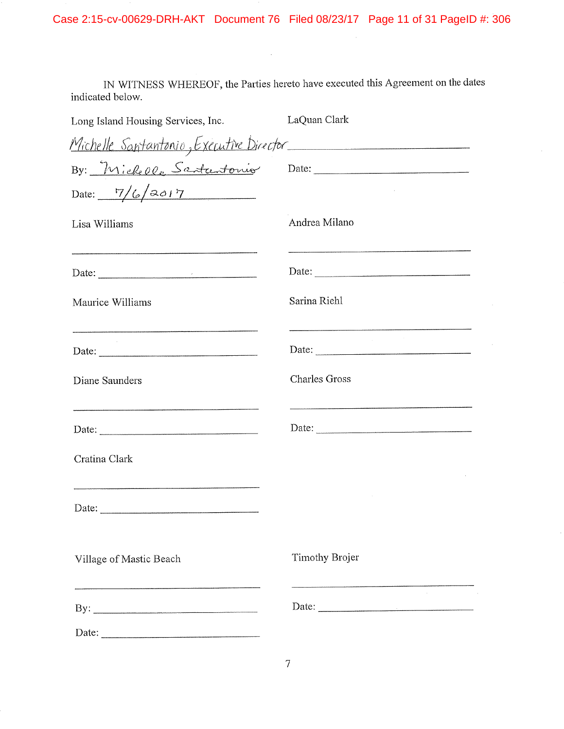IN WITNESS WHEREOF, the Parties hereto have executed this Agreement on the dates indicated below.

 $\mathcal{L}^{\text{max}}_{\text{max}}$  and  $\mathcal{L}^{\text{max}}_{\text{max}}$ 

| Long Island Housing Services, Inc.                       | LaQuan Clark                                                                                                                                                                                                                                                                                                                                                                                                  |
|----------------------------------------------------------|---------------------------------------------------------------------------------------------------------------------------------------------------------------------------------------------------------------------------------------------------------------------------------------------------------------------------------------------------------------------------------------------------------------|
| Michelle Santantonio, Executive Director                 |                                                                                                                                                                                                                                                                                                                                                                                                               |
|                                                          |                                                                                                                                                                                                                                                                                                                                                                                                               |
| Date: $\frac{7}{6}2017$                                  |                                                                                                                                                                                                                                                                                                                                                                                                               |
| Lisa Williams                                            | Andrea Milano                                                                                                                                                                                                                                                                                                                                                                                                 |
| Date: $\frac{1}{\sqrt{1-\frac{1}{2}} \cdot \frac{1}{2}}$ | Date:                                                                                                                                                                                                                                                                                                                                                                                                         |
| Maurice Williams                                         | Sarina Riehl                                                                                                                                                                                                                                                                                                                                                                                                  |
| Date:                                                    | Date: $\frac{1}{\sqrt{1-\frac{1}{2}}\sqrt{1-\frac{1}{2}}\sqrt{1-\frac{1}{2}}\sqrt{1-\frac{1}{2}}\sqrt{1-\frac{1}{2}}\sqrt{1-\frac{1}{2}}\sqrt{1-\frac{1}{2}}\sqrt{1-\frac{1}{2}}\sqrt{1-\frac{1}{2}}\sqrt{1-\frac{1}{2}}\sqrt{1-\frac{1}{2}}\sqrt{1-\frac{1}{2}}\sqrt{1-\frac{1}{2}}\sqrt{1-\frac{1}{2}}\sqrt{1-\frac{1}{2}}\sqrt{1-\frac{1}{2}}\sqrt{1-\frac{1}{2}}\sqrt{1-\frac{1}{2}}\sqrt{1-\frac{1}{2}}$ |
| Diane Saunders                                           | <b>Charles Gross</b>                                                                                                                                                                                                                                                                                                                                                                                          |
| Date: $\frac{1}{\sqrt{1-\frac{1}{2}} \cdot \frac{1}{2}}$ | Date: $\frac{1}{\sqrt{1-\frac{1}{2}}\sqrt{1-\frac{1}{2}}\sqrt{1-\frac{1}{2}}\sqrt{1-\frac{1}{2}}\sqrt{1-\frac{1}{2}}\sqrt{1-\frac{1}{2}}\sqrt{1-\frac{1}{2}}\sqrt{1-\frac{1}{2}}\sqrt{1-\frac{1}{2}}\sqrt{1-\frac{1}{2}}\sqrt{1-\frac{1}{2}}\sqrt{1-\frac{1}{2}}\sqrt{1-\frac{1}{2}}\sqrt{1-\frac{1}{2}}\sqrt{1-\frac{1}{2}}\sqrt{1-\frac{1}{2}}\sqrt{1-\frac{1}{2}}\sqrt{1-\frac{1}{2}}\sqrt{1-\frac{1}{2}}$ |
| Cratina Clark                                            |                                                                                                                                                                                                                                                                                                                                                                                                               |
|                                                          |                                                                                                                                                                                                                                                                                                                                                                                                               |
| Village of Mastic Beach                                  | Timothy Brojer                                                                                                                                                                                                                                                                                                                                                                                                |
| By: $\qquad \qquad$                                      | Date:                                                                                                                                                                                                                                                                                                                                                                                                         |
|                                                          |                                                                                                                                                                                                                                                                                                                                                                                                               |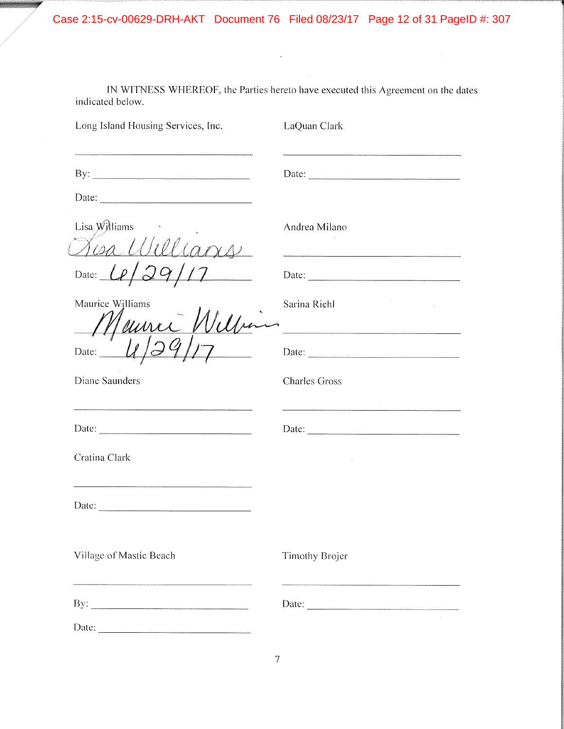Case 2:15-cv-00629-DRH-AKT Document 76 Filed 08/23/17 Page 12 of 31 PageID #: 307

 $\sim$ 

IN WITNESS WHEREOF, the Parties hereto have executed this Agreement on the dates indicated below.

| Long Island Housing Services, Inc.                                                                                                                                                                                                                                                                                                                                                                                                                | LaQuan Clark                                                                                                                                                                                                                                                                                                                                                                                                  |
|---------------------------------------------------------------------------------------------------------------------------------------------------------------------------------------------------------------------------------------------------------------------------------------------------------------------------------------------------------------------------------------------------------------------------------------------------|---------------------------------------------------------------------------------------------------------------------------------------------------------------------------------------------------------------------------------------------------------------------------------------------------------------------------------------------------------------------------------------------------------------|
|                                                                                                                                                                                                                                                                                                                                                                                                                                                   | Date: $\frac{1}{\sqrt{1-\frac{1}{2}}\sqrt{1-\frac{1}{2}}\sqrt{1-\frac{1}{2}}\sqrt{1-\frac{1}{2}}\sqrt{1-\frac{1}{2}}\sqrt{1-\frac{1}{2}}\sqrt{1-\frac{1}{2}}\sqrt{1-\frac{1}{2}}\sqrt{1-\frac{1}{2}}\sqrt{1-\frac{1}{2}}\sqrt{1-\frac{1}{2}}\sqrt{1-\frac{1}{2}}\sqrt{1-\frac{1}{2}}\sqrt{1-\frac{1}{2}}\sqrt{1-\frac{1}{2}}\sqrt{1-\frac{1}{2}}\sqrt{1-\frac{1}{2}}\sqrt{1-\frac{1}{2}}\sqrt{1-\frac{1}{2}}$ |
|                                                                                                                                                                                                                                                                                                                                                                                                                                                   |                                                                                                                                                                                                                                                                                                                                                                                                               |
| Lisa Williams<br>Kisa Williams                                                                                                                                                                                                                                                                                                                                                                                                                    | Andrea Milano                                                                                                                                                                                                                                                                                                                                                                                                 |
| Date: $\lfloor \ell \rfloor$ 29                                                                                                                                                                                                                                                                                                                                                                                                                   |                                                                                                                                                                                                                                                                                                                                                                                                               |
| Maurice Williams<br>Meurre 1                                                                                                                                                                                                                                                                                                                                                                                                                      | Sarina Riehl                                                                                                                                                                                                                                                                                                                                                                                                  |
| Date:                                                                                                                                                                                                                                                                                                                                                                                                                                             |                                                                                                                                                                                                                                                                                                                                                                                                               |
| Diane Saunders                                                                                                                                                                                                                                                                                                                                                                                                                                    | <b>Charles Gross</b>                                                                                                                                                                                                                                                                                                                                                                                          |
|                                                                                                                                                                                                                                                                                                                                                                                                                                                   | Date: $\frac{1}{\sqrt{1-\frac{1}{2}}\sqrt{1-\frac{1}{2}}\sqrt{1-\frac{1}{2}}\sqrt{1-\frac{1}{2}}\sqrt{1-\frac{1}{2}}\sqrt{1-\frac{1}{2}}\sqrt{1-\frac{1}{2}}\sqrt{1-\frac{1}{2}}\sqrt{1-\frac{1}{2}}\sqrt{1-\frac{1}{2}}\sqrt{1-\frac{1}{2}}\sqrt{1-\frac{1}{2}}\sqrt{1-\frac{1}{2}}\sqrt{1-\frac{1}{2}}\sqrt{1-\frac{1}{2}}\sqrt{1-\frac{1}{2}}\sqrt{1-\frac{1}{2}}\sqrt{1-\frac{1}{2}}\sqrt{1-\frac{1}{2}}$ |
| Cratina Clark                                                                                                                                                                                                                                                                                                                                                                                                                                     |                                                                                                                                                                                                                                                                                                                                                                                                               |
| Date: $\frac{1}{\sqrt{1-\frac{1}{2}} \cdot \frac{1}{2} \cdot \frac{1}{2} \cdot \frac{1}{2} \cdot \frac{1}{2} \cdot \frac{1}{2} \cdot \frac{1}{2} \cdot \frac{1}{2} \cdot \frac{1}{2} \cdot \frac{1}{2} \cdot \frac{1}{2} \cdot \frac{1}{2} \cdot \frac{1}{2} \cdot \frac{1}{2} \cdot \frac{1}{2} \cdot \frac{1}{2} \cdot \frac{1}{2} \cdot \frac{1}{2} \cdot \frac{1}{2} \cdot \frac{1}{2} \cdot \frac{1}{2} \cdot \frac{1}{2} \cdot \frac{1}{2}$ |                                                                                                                                                                                                                                                                                                                                                                                                               |
| Village of Mastic Beach                                                                                                                                                                                                                                                                                                                                                                                                                           | <b>Timothy Brojer</b>                                                                                                                                                                                                                                                                                                                                                                                         |
| By: $\qquad \qquad$                                                                                                                                                                                                                                                                                                                                                                                                                               |                                                                                                                                                                                                                                                                                                                                                                                                               |
|                                                                                                                                                                                                                                                                                                                                                                                                                                                   |                                                                                                                                                                                                                                                                                                                                                                                                               |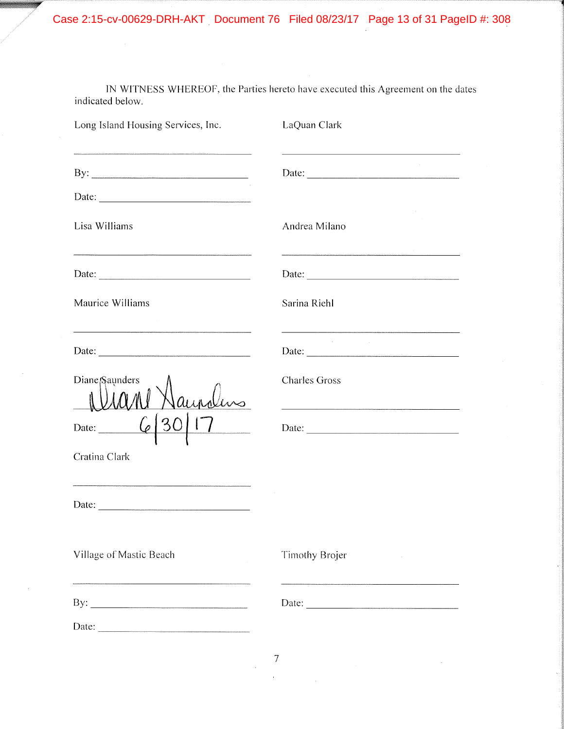Case 2:15-cv-00629-DRH-AKT Document 76 Filed 08/23/17 Page 13 of 31 PageID #: 308

IN WITNESS WHEREOF, the Parties hereto have executed this Agreement on the dates indicated below.

 $\hat{\mathcal{E}}$ 

| Long Island Housing Services, Inc.      | LaQuan Clark                                                                              |  |
|-----------------------------------------|-------------------------------------------------------------------------------------------|--|
|                                         | the control of the control of the control of the control of the control of the control of |  |
|                                         |                                                                                           |  |
| Lisa Williams                           | Andrea Milano                                                                             |  |
| Date: $\qquad \qquad$                   |                                                                                           |  |
| Maurice Williams                        | Sarina Riehl                                                                              |  |
|                                         | and the company of the                                                                    |  |
| Diane <sub>[Saunders]</sub><br>auralins | <b>Charles Gross</b>                                                                      |  |
| 17<br>Date: $\frac{6}{30}$              |                                                                                           |  |
| Cratina Clark                           |                                                                                           |  |
|                                         |                                                                                           |  |
| Village of Mastic Beach                 | Timothy Brojer                                                                            |  |
|                                         |                                                                                           |  |
| Date: $\qquad \qquad$                   |                                                                                           |  |

7

 $\bar{\beta}$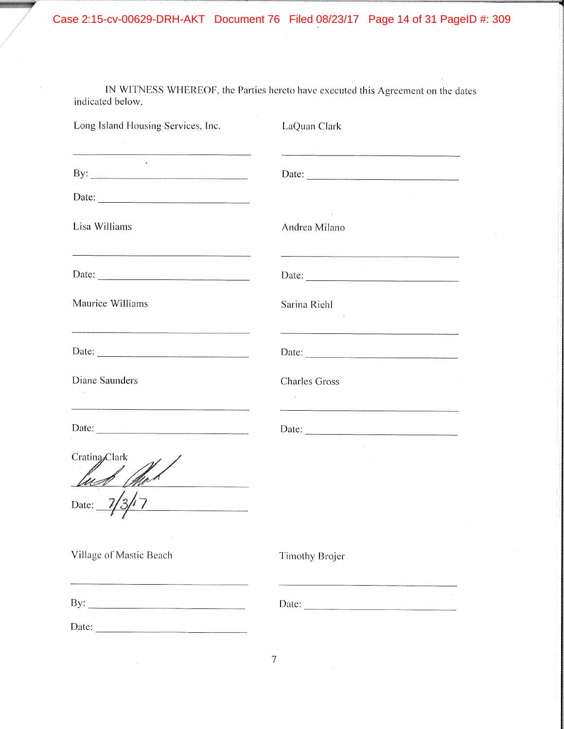Case 2:15-cv-00629-DRH-AKT Document 76 Filed 08/23/17 Page 14 of 31 PageID #: 309

IN WITNESS WHEREOF, the Parties hereto have executed this Agreement on the dates indicated below.

| Long Island Housing Services, Inc.       | LaQuan Clark                              |
|------------------------------------------|-------------------------------------------|
| <b>CONTRACTOR</b><br>By: $\qquad \qquad$ | Date: $\qquad \qquad$                     |
| Date: $\qquad \qquad$                    |                                           |
| Lisa Williams                            | <b>Contract Contract</b><br>Andrea Milano |
|                                          |                                           |
| Maurice Williams                         | Sarina Riehl                              |
|                                          |                                           |
| Diane Saunders                           | <b>Charles Gross</b><br><b>Contractor</b> |
|                                          |                                           |
| Crating Clark<br><u>Sh</u> a             |                                           |
| Date:                                    |                                           |
| Village of Mastic Beach                  | Timothy Brojer                            |
|                                          | Date: $\qquad \qquad$                     |
|                                          |                                           |

7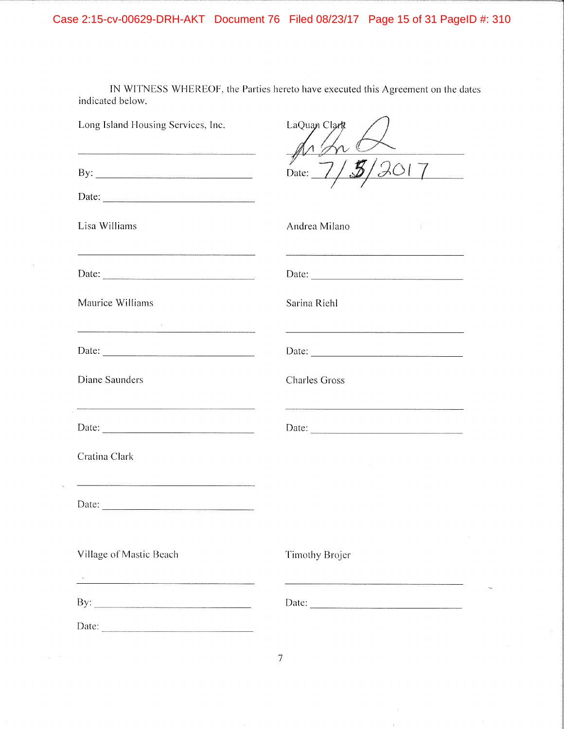IN WITNESS WHEREOF, the Parties hereto have executed this Agreement on the dates indicated below.

| Long Island Housing Services, Inc.                       | LaQuan Clark          |
|----------------------------------------------------------|-----------------------|
|                                                          | Date:                 |
|                                                          |                       |
| Lisa Williams                                            | Andrea Milano         |
| Date: $\frac{1}{\sqrt{1-\frac{1}{2}} \cdot \frac{1}{2}}$ |                       |
| Maurice Williams                                         | Sarina Riehl          |
|                                                          |                       |
| Diane Saunders                                           | <b>Charles Gross</b>  |
|                                                          |                       |
| Cratina Clark                                            |                       |
|                                                          |                       |
| Village of Mastic Beach                                  | <b>Timothy Brojer</b> |
|                                                          | Date:                 |
|                                                          |                       |

 $\overline{7}$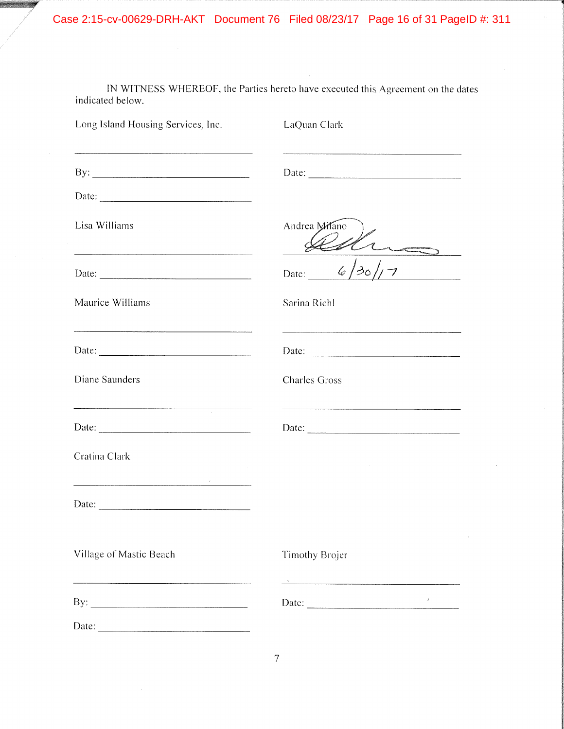Case 2:15-cv-00629-DRH-AKT Document 76 Filed 08/23/17 Page 16 of 31 PageID #: 311

IN WITNESS WHEREOF, the Parties hereto have executed this Agreement on the dates indicated below.

 $\mathcal{A}^{\mathcal{A}}$ 

| Long Island Housing Services, Inc.                                                                                                                                                                                                   | LaQuan Clark         |
|--------------------------------------------------------------------------------------------------------------------------------------------------------------------------------------------------------------------------------------|----------------------|
|                                                                                                                                                                                                                                      |                      |
|                                                                                                                                                                                                                                      |                      |
| Lisa Williams                                                                                                                                                                                                                        | Andrea Milano        |
|                                                                                                                                                                                                                                      | 6/30/<br>Date:       |
| Maurice Williams                                                                                                                                                                                                                     | Sarina Riehl         |
|                                                                                                                                                                                                                                      |                      |
| Diane Saunders                                                                                                                                                                                                                       | <b>Charles Gross</b> |
|                                                                                                                                                                                                                                      |                      |
| Cratina Clark                                                                                                                                                                                                                        |                      |
| <u>a a comprehensation de la comprehensation de la comprehensation de la comprehensation de la comprehensation de la comprehensation de la comprehensation de la comprehensation de la comprehensation de la comprehensation de </u> |                      |
| Village of Mastic Beach                                                                                                                                                                                                              | Timothy Brojer       |
| By: $\qquad \qquad$                                                                                                                                                                                                                  | $\ell^-$             |
|                                                                                                                                                                                                                                      |                      |

 $\overline{7}$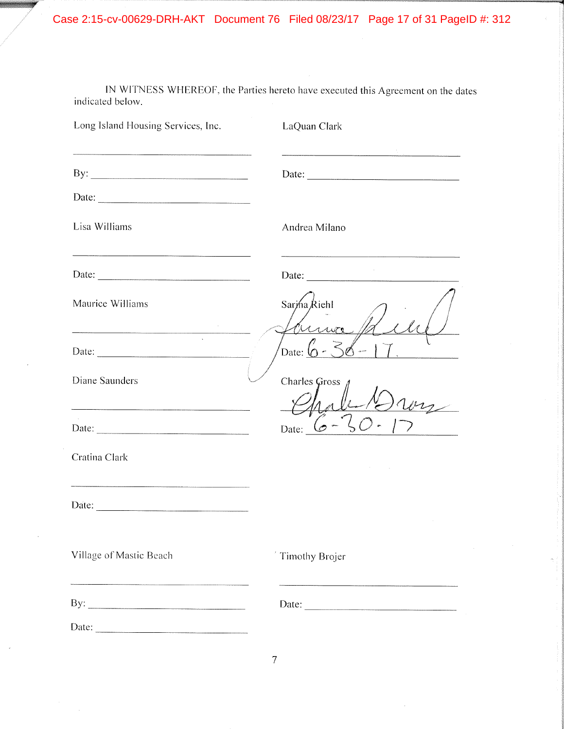IN WITNESS WHEREOF, the Parties hereto have executed this Agreement on the dates indicated below.

| Long Island Housing Services, Inc.                                                                                     | LaQuan Clark                                            |
|------------------------------------------------------------------------------------------------------------------------|---------------------------------------------------------|
|                                                                                                                        | <u> 1990 - Jan James Stein, Amerikaansk politiker (</u> |
|                                                                                                                        |                                                         |
| Lisa Williams                                                                                                          | Andrea Milano                                           |
| <u> La componenta de la componenta de la componenta de la componenta de la componenta de la componenta de la compo</u> |                                                         |
| Maurice Williams                                                                                                       | Sarma Richl                                             |
|                                                                                                                        | Date: (                                                 |
| Diane Saunders                                                                                                         | <b>Charles Gross</b>                                    |
|                                                                                                                        | Date:                                                   |
| Cratina Clark                                                                                                          |                                                         |
|                                                                                                                        |                                                         |
| Village of Mastic Beach                                                                                                | Timothy Brojer                                          |
| By: $\qquad \qquad$                                                                                                    | Date: $\qquad \qquad$                                   |
| Date: $\qquad \qquad$                                                                                                  |                                                         |

 $\overline{7}$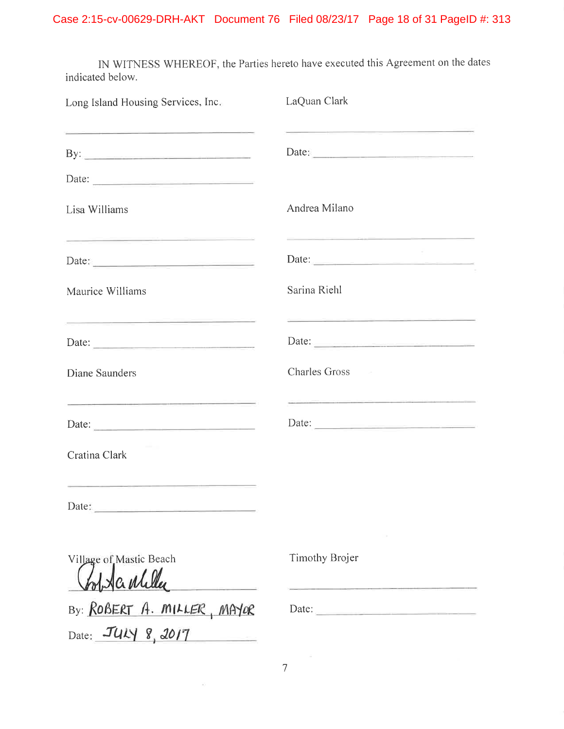IN WITNESS WHEREOF, the Parties hereto have executed this Agreement on the dates indicated below.

| Long Island Housing Services, Inc.                                                                                              | LaQuan Clark                                                                                                                                                                                                                                  |
|---------------------------------------------------------------------------------------------------------------------------------|-----------------------------------------------------------------------------------------------------------------------------------------------------------------------------------------------------------------------------------------------|
|                                                                                                                                 | <u> 1989 - Johann Harry Harry Harry Harry Harry Harry Harry Harry Harry Harry Harry Harry Harry Harry Harry Harry Harry Harry Harry Harry Harry Harry Harry Harry Harry Harry Harry Harry Harry Harry Harry Harry Harry Harry Ha</u><br>Date: |
| Date:                                                                                                                           |                                                                                                                                                                                                                                               |
| Lisa Williams                                                                                                                   | Andrea Milano                                                                                                                                                                                                                                 |
| <u> 1980 - Andrea Andrew Marie Alemania (h. 1980).</u><br>1980 - Andrew Marie Alemania, frantziar espainiar (h. 1902).<br>Date: | Date: $\qquad \qquad$                                                                                                                                                                                                                         |
| Maurice Williams                                                                                                                | Sarina Riehl                                                                                                                                                                                                                                  |
| <u> 1980 - Jan James James Barnett, amerikan</u><br>Date:                                                                       | the control of the control of the control of the control of the control of the control of the control of the control of the control of the control of the control of the control of the control of the control of the control<br>Date:        |
| Diane Saunders                                                                                                                  | <b>Charles Gross</b>                                                                                                                                                                                                                          |
| <u> 1989 - Andrea Stationer, Amerikaansk politiker (</u><br>Date:                                                               | <u> 1999 - Andrea Barnett, amerikan basar dan besar dalam pembangan dan basar dan besar dan basar dan besar dan b</u><br>Date:                                                                                                                |
| Cratina Clark                                                                                                                   |                                                                                                                                                                                                                                               |
| Date:                                                                                                                           |                                                                                                                                                                                                                                               |
| Village of Mastic Beach<br>Hanliller                                                                                            | Timothy Brojer                                                                                                                                                                                                                                |
| By: ROBERT A. MILLER, MAYOR<br>Date: JULY 8, 2017                                                                               | Date:                                                                                                                                                                                                                                         |

 $\overline{7}$ 

 $\sim$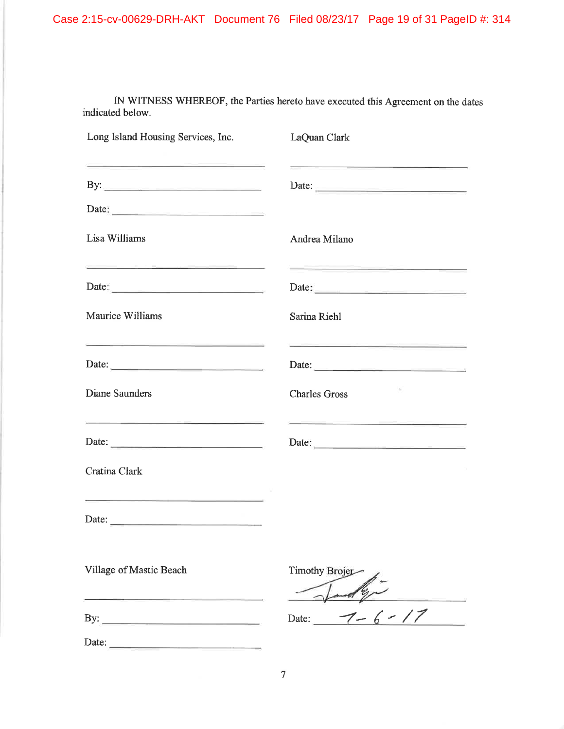# Case 2:15-cv-00629-DRH-AKT Document 76 Filed 08/23/17 Page 19 of 31 PageID #: 314

IN WITNESS WHEREOF, the Parties hereto have executed this Agreement on the dates indicated below.

| Long Island Housing Services, Inc.<br><u> 1989 - Andrea Stadt Britain, amerikan bestean ing pada sebagai pada sebagai pada sebagai pada sebagai pada se</u>                                                                                   | LaQuan Clark                                                                                                                                                                                                                                                                                                                                                                                                                                                         |
|-----------------------------------------------------------------------------------------------------------------------------------------------------------------------------------------------------------------------------------------------|----------------------------------------------------------------------------------------------------------------------------------------------------------------------------------------------------------------------------------------------------------------------------------------------------------------------------------------------------------------------------------------------------------------------------------------------------------------------|
| By:                                                                                                                                                                                                                                           | <u> De Santo de Santo de Santo de Santo de Santo de Santo de Santo de Santo de Santo de Santo de Santo de Santo d</u><br>Date: $\qquad \qquad$                                                                                                                                                                                                                                                                                                                       |
| Date: $\qquad \qquad$                                                                                                                                                                                                                         |                                                                                                                                                                                                                                                                                                                                                                                                                                                                      |
| Lisa Williams                                                                                                                                                                                                                                 | Andrea Milano                                                                                                                                                                                                                                                                                                                                                                                                                                                        |
| <u> 1989 - John Barn Harry Barn, mars and de la partie de la partie de la partie de la partie de la partie de la</u><br>Date: $\qquad \qquad$                                                                                                 | <u>experience</u> and the second control of the second control of the second control of the second control of the second<br>Date: $\qquad \qquad$                                                                                                                                                                                                                                                                                                                    |
| Maurice Williams                                                                                                                                                                                                                              | Sarina Riehl                                                                                                                                                                                                                                                                                                                                                                                                                                                         |
| <u> 1980 - Andrea Andrew Marie Marie Marie Marie Marie Marie Marie Marie Marie Marie Marie Marie Marie Marie Mari</u><br>Date:                                                                                                                | <u> 1980 - Andrea State Andrea State Andrea Sta</u><br>Date: $\frac{1}{\sqrt{1-\frac{1}{2}}\sqrt{1-\frac{1}{2}}\sqrt{1-\frac{1}{2}}\sqrt{1-\frac{1}{2}}\sqrt{1-\frac{1}{2}}\sqrt{1-\frac{1}{2}}\sqrt{1-\frac{1}{2}}\sqrt{1-\frac{1}{2}}\sqrt{1-\frac{1}{2}}\sqrt{1-\frac{1}{2}}\sqrt{1-\frac{1}{2}}\sqrt{1-\frac{1}{2}}\sqrt{1-\frac{1}{2}}\sqrt{1-\frac{1}{2}}\sqrt{1-\frac{1}{2}}\sqrt{1-\frac{1}{2}}\sqrt{1-\frac{1}{2}}\sqrt{1-\frac{1}{2}}\sqrt{1-\frac{1}{2}}$ |
| Diane Saunders                                                                                                                                                                                                                                | $\Delta$<br><b>Charles Gross</b>                                                                                                                                                                                                                                                                                                                                                                                                                                     |
| <u> 1989 - An Aonaichte ann an Aonaichte ann an Aonaichte ann an Aonaichte ann an Aonaichte ann an Aonaichte ann an Aonaichte ann an Aonaichte ann an Aonaichte ann an Aonaichte ann an Aonaichte ann an Aonaichte ann an Aonaic</u><br>Date: | <u> La componente de la componenta de la componenta de la componenta de la componenta de la componenta de la compo</u><br>Date: $\qquad \qquad$                                                                                                                                                                                                                                                                                                                      |
| Cratina Clark                                                                                                                                                                                                                                 |                                                                                                                                                                                                                                                                                                                                                                                                                                                                      |
| <u> 1980 - Andrea Andrew Marie II, amerikan bizkai da</u>                                                                                                                                                                                     |                                                                                                                                                                                                                                                                                                                                                                                                                                                                      |
| Village of Mastic Beach<br><u> 1980 - Johann Marie Barn, mars eta industrial eta industrial eta industrial eta industrial eta industrial eta</u>                                                                                              | <b>Timothy Brojet</b>                                                                                                                                                                                                                                                                                                                                                                                                                                                |
|                                                                                                                                                                                                                                               | Date: $7 - 6 - 17$                                                                                                                                                                                                                                                                                                                                                                                                                                                   |
| Date: $\qquad \qquad$                                                                                                                                                                                                                         |                                                                                                                                                                                                                                                                                                                                                                                                                                                                      |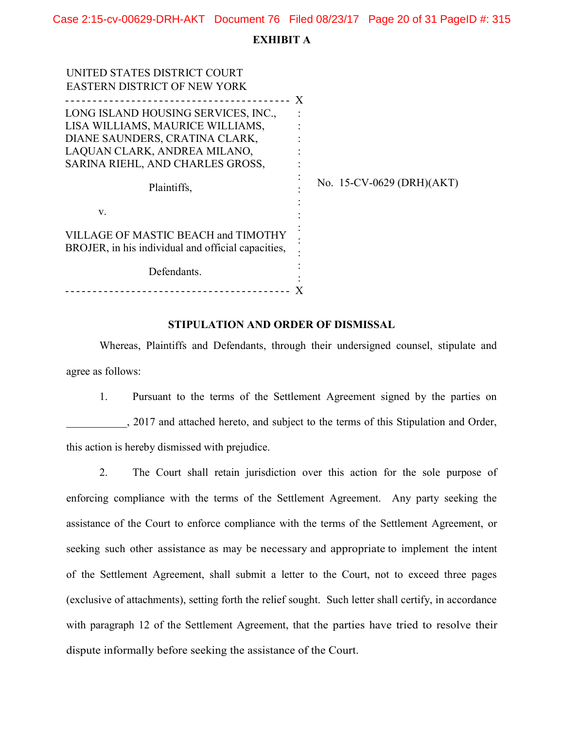Case 2:15-cv-00629-DRH-AKT Document 76 Filed 08/23/17 Page 20 of 31 PageID #: 315

#### EXHIBIT A

| UNITED STATES DISTRICT COURT                                                              |   |                           |
|-------------------------------------------------------------------------------------------|---|---------------------------|
| <b>EASTERN DISTRICT OF NEW YORK</b>                                                       |   |                           |
|                                                                                           | X |                           |
| LONG ISLAND HOUSING SERVICES, INC.,                                                       |   |                           |
| LISA WILLIAMS, MAURICE WILLIAMS,                                                          |   |                           |
| DIANE SAUNDERS, CRATINA CLARK,                                                            |   |                           |
| LAQUAN CLARK, ANDREA MILANO,                                                              |   |                           |
| SARINA RIEHL, AND CHARLES GROSS,                                                          |   |                           |
| Plaintiffs,                                                                               |   | No. 15-CV-0629 (DRH)(AKT) |
| V.                                                                                        |   |                           |
| VILLAGE OF MASTIC BEACH and TIMOTHY<br>BROJER, in his individual and official capacities, |   |                           |
| Defendants.                                                                               |   |                           |
|                                                                                           |   |                           |

#### STIPULATION AND ORDER OF DISMISSAL

Whereas, Plaintiffs and Defendants, through their undersigned counsel, stipulate and agree as follows:

1. Pursuant to the terms of the Settlement Agreement signed by the parties on \_\_\_\_\_\_\_\_\_\_\_, 2017 and attached hereto, and subject to the terms of this Stipulation and Order, this action is hereby dismissed with prejudice.

2. The Court shall retain jurisdiction over this action for the sole purpose of enforcing compliance with the terms of the Settlement Agreement. Any party seeking the assistance of the Court to enforce compliance with the terms of the Settlement Agreement, or seeking such other assistance as may be necessary and appropriate to implement the intent of the Settlement Agreement, shall submit a letter to the Court, not to exceed three pages (exclusive of attachments), setting forth the relief sought. Such letter shall certify, in accordance with paragraph 12 of the Settlement Agreement, that the parties have tried to resolve their dispute informally before seeking the assistance of the Court.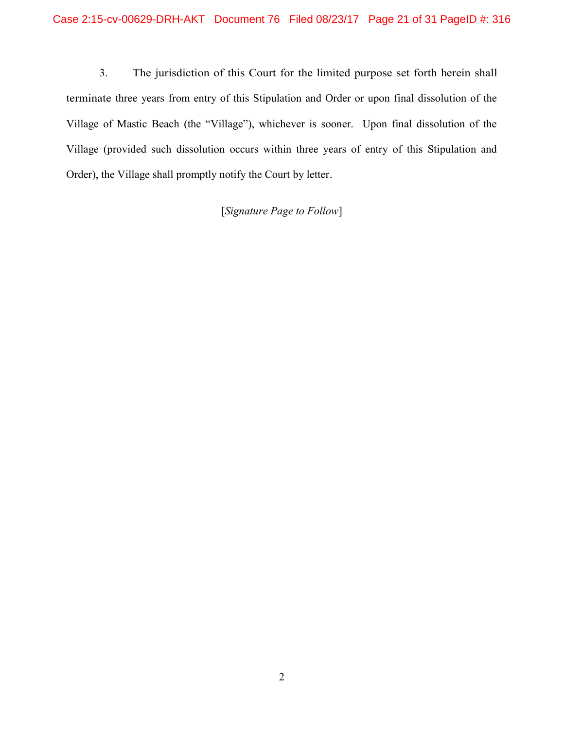3. The jurisdiction of this Court for the limited purpose set forth herein shall terminate three years from entry of this Stipulation and Order or upon final dissolution of the Village of Mastic Beach (the "Village"), whichever is sooner. Upon final dissolution of the Village (provided such dissolution occurs within three years of entry of this Stipulation and Order), the Village shall promptly notify the Court by letter.

[Signature Page to Follow]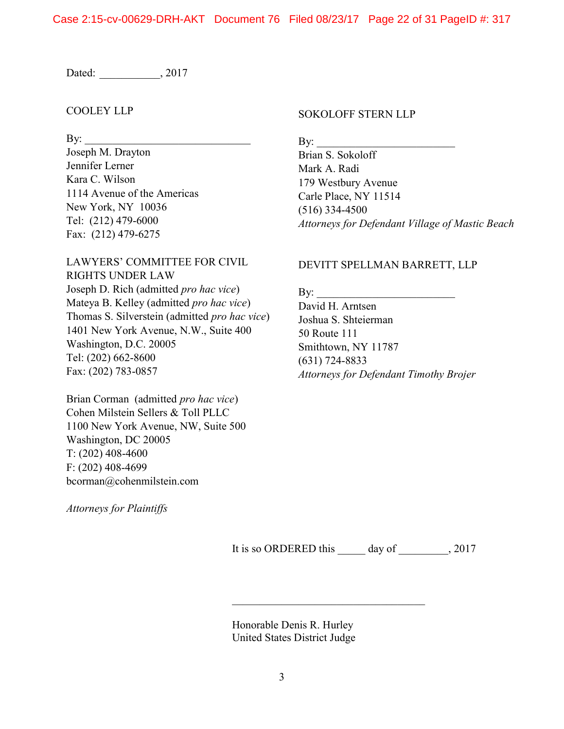Dated: \_\_\_\_\_\_\_\_\_\_\_\_, 2017

### COOLEY LLP

 $\mathbf{B}$ y:

Joseph M. Drayton Jennifer Lerner Kara C. Wilson 1114 Avenue of the Americas New York, NY 10036 Tel: (212) 479-6000 Fax: (212) 479-6275

LAWYERS' COMMITTEE FOR CIVIL RIGHTS UNDER LAW Joseph D. Rich (admitted pro hac vice) Mateya B. Kelley (admitted pro hac vice) Thomas S. Silverstein (admitted pro hac vice) 1401 New York Avenue, N.W., Suite 400 Washington, D.C. 20005 Tel: (202) 662-8600 Fax: (202) 783-0857

Brian Corman (admitted pro hac vice) Cohen Milstein Sellers & Toll PLLC 1100 New York Avenue, NW, Suite 500 Washington, DC 20005 T: (202) 408-4600 F: (202) 408-4699 bcorman@cohenmilstein.com

Attorneys for Plaintiffs

#### SOKOLOFF STERN LLP

 $\mathbf{By:}$ 

Brian S. Sokoloff Mark A. Radi 179 Westbury Avenue Carle Place, NY 11514 (516) 334-4500 Attorneys for Defendant Village of Mastic Beach

### DEVITT SPELLMAN BARRETT, LLP

By: David H. Arntsen Joshua S. Shteierman 50 Route 111 Smithtown, NY 11787 (631) 724-8833 Attorneys for Defendant Timothy Brojer

It is so ORDERED this \_\_\_\_\_\_ day of \_\_\_\_\_\_\_\_, 2017

Honorable Denis R. Hurley United States District Judge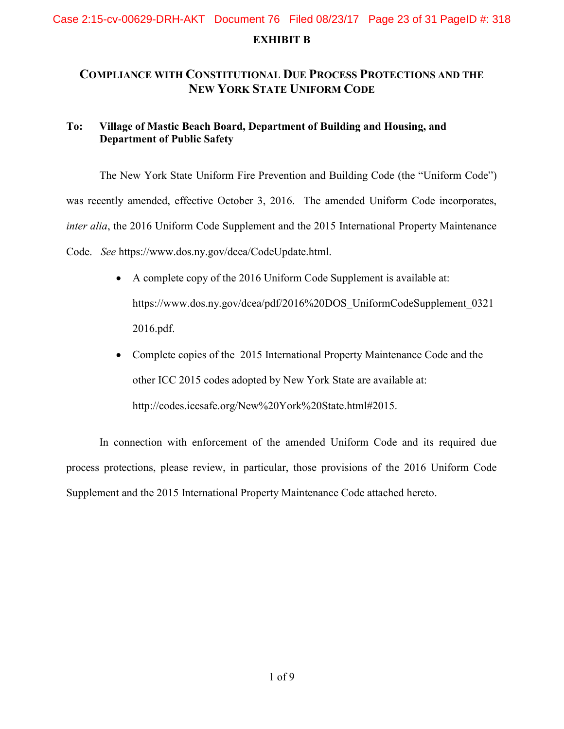# EXHIBIT B Case 2:15-cv-00629-DRH-AKT Document 76 Filed 08/23/17 Page 23 of 31 PageID #: 318

# COMPLIANCE WITH CONSTITUTIONAL DUE PROCESS PROTECTIONS AND THE NEW YORK STATE UNIFORM CODE

## To: Village of Mastic Beach Board, Department of Building and Housing, and Department of Public Safety

 The New York State Uniform Fire Prevention and Building Code (the "Uniform Code") was recently amended, effective October 3, 2016. The amended Uniform Code incorporates, inter alia, the 2016 Uniform Code Supplement and the 2015 International Property Maintenance Code. See https://www.dos.ny.gov/dcea/CodeUpdate.html.

- A complete copy of the 2016 Uniform Code Supplement is available at: https://www.dos.ny.gov/dcea/pdf/2016%20DOS\_UniformCodeSupplement\_0321 2016.pdf.
- Complete copies of the 2015 International Property Maintenance Code and the other ICC 2015 codes adopted by New York State are available at: http://codes.iccsafe.org/New%20York%20State.html#2015.

In connection with enforcement of the amended Uniform Code and its required due process protections, please review, in particular, those provisions of the 2016 Uniform Code Supplement and the 2015 International Property Maintenance Code attached hereto.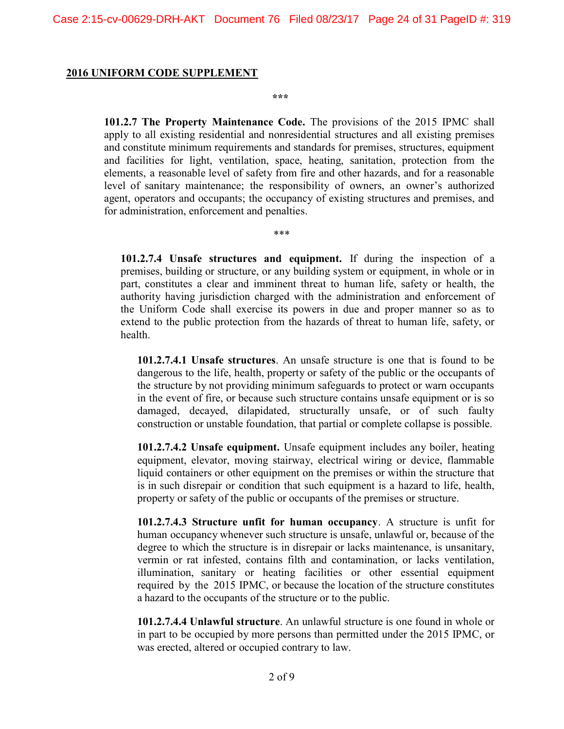#### 2016 UNIFORM CODE SUPPLEMENT

\*\*\*

\*\*\*

101.2.7 The Property Maintenance Code. The provisions of the 2015 IPMC shall apply to all existing residential and nonresidential structures and all existing premises and constitute minimum requirements and standards for premises, structures, equipment and facilities for light, ventilation, space, heating, sanitation, protection from the elements, a reasonable level of safety from fire and other hazards, and for a reasonable level of sanitary maintenance; the responsibility of owners, an owner's authorized agent, operators and occupants; the occupancy of existing structures and premises, and for administration, enforcement and penalties.

101.2.7.4 Unsafe structures and equipment. If during the inspection of a premises, building or structure, or any building system or equipment, in whole or in part, constitutes a clear and imminent threat to human life, safety or health, the authority having jurisdiction charged with the administration and enforcement of the Uniform Code shall exercise its powers in due and proper manner so as to extend to the public protection from the hazards of threat to human life, safety, or health.

101.2.7.4.1 Unsafe structures. An unsafe structure is one that is found to be dangerous to the life, health, property or safety of the public or the occupants of the structure by not providing minimum safeguards to protect or warn occupants in the event of fire, or because such structure contains unsafe equipment or is so damaged, decayed, dilapidated, structurally unsafe, or of such faulty construction or unstable foundation, that partial or complete collapse is possible.

101.2.7.4.2 Unsafe equipment. Unsafe equipment includes any boiler, heating equipment, elevator, moving stairway, electrical wiring or device, flammable liquid containers or other equipment on the premises or within the structure that is in such disrepair or condition that such equipment is a hazard to life, health, property or safety of the public or occupants of the premises or structure.

101.2.7.4.3 Structure unfit for human occupancy. A structure is unfit for human occupancy whenever such structure is unsafe, unlawful or, because of the degree to which the structure is in disrepair or lacks maintenance, is unsanitary, vermin or rat infested, contains filth and contamination, or lacks ventilation, illumination, sanitary or heating facilities or other essential equipment required by the 2015 IPMC, or because the location of the structure constitutes a hazard to the occupants of the structure or to the public.

101.2.7.4.4 Unlawful structure. An unlawful structure is one found in whole or in part to be occupied by more persons than permitted under the 2015 IPMC, or was erected, altered or occupied contrary to law.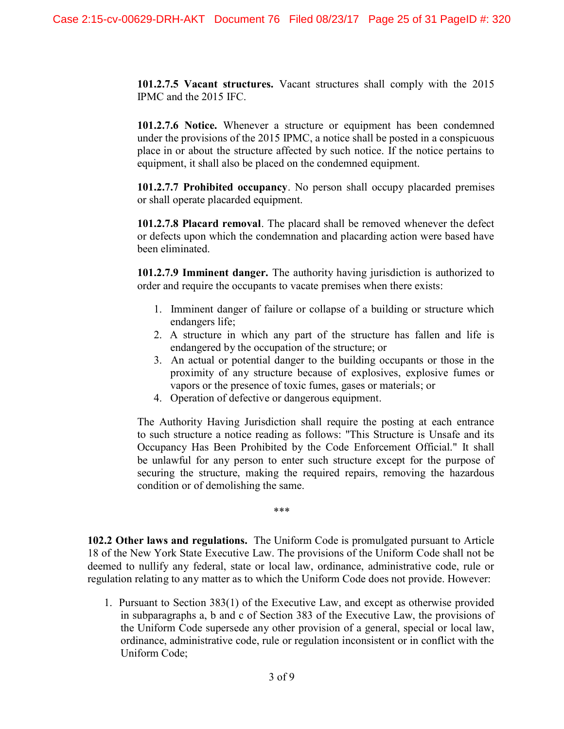101.2.7.5 Vacant structures. Vacant structures shall comply with the 2015 IPMC and the 2015 IFC.

101.2.7.6 Notice. Whenever a structure or equipment has been condemned under the provisions of the 2015 IPMC, a notice shall be posted in a conspicuous place in or about the structure affected by such notice. If the notice pertains to equipment, it shall also be placed on the condemned equipment.

101.2.7.7 Prohibited occupancy. No person shall occupy placarded premises or shall operate placarded equipment.

101.2.7.8 Placard removal. The placard shall be removed whenever the defect or defects upon which the condemnation and placarding action were based have been eliminated.

101.2.7.9 Imminent danger. The authority having jurisdiction is authorized to order and require the occupants to vacate premises when there exists:

- 1. Imminent danger of failure or collapse of a building or structure which endangers life;
- 2. A structure in which any part of the structure has fallen and life is endangered by the occupation of the structure; or
- 3. An actual or potential danger to the building occupants or those in the proximity of any structure because of explosives, explosive fumes or vapors or the presence of toxic fumes, gases or materials; or
- 4. Operation of defective or dangerous equipment.

The Authority Having Jurisdiction shall require the posting at each entrance to such structure a notice reading as follows: "This Structure is Unsafe and its Occupancy Has Been Prohibited by the Code Enforcement Official." It shall be unlawful for any person to enter such structure except for the purpose of securing the structure, making the required repairs, removing the hazardous condition or of demolishing the same.

\*\*\*

102.2 Other laws and regulations. The Uniform Code is promulgated pursuant to Article 18 of the New York State Executive Law. The provisions of the Uniform Code shall not be deemed to nullify any federal, state or local law, ordinance, administrative code, rule or regulation relating to any matter as to which the Uniform Code does not provide. However:

1. Pursuant to Section 383(1) of the Executive Law, and except as otherwise provided in subparagraphs a, b and c of Section 383 of the Executive Law, the provisions of the Uniform Code supersede any other provision of a general, special or local law, ordinance, administrative code, rule or regulation inconsistent or in conflict with the Uniform Code;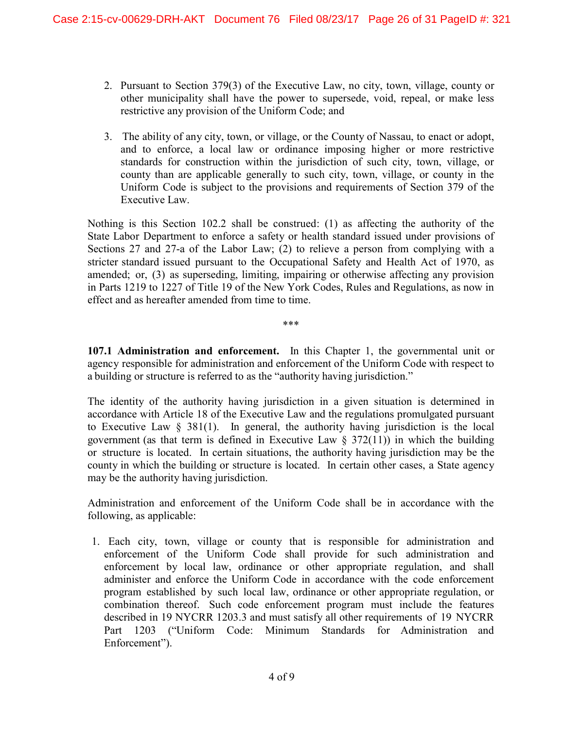- 2. Pursuant to Section 379(3) of the Executive Law, no city, town, village, county or other municipality shall have the power to supersede, void, repeal, or make less restrictive any provision of the Uniform Code; and
- 3. The ability of any city, town, or village, or the County of Nassau, to enact or adopt, and to enforce, a local law or ordinance imposing higher or more restrictive standards for construction within the jurisdiction of such city, town, village, or county than are applicable generally to such city, town, village, or county in the Uniform Code is subject to the provisions and requirements of Section 379 of the Executive Law.

Nothing is this Section 102.2 shall be construed: (1) as affecting the authority of the State Labor Department to enforce a safety or health standard issued under provisions of Sections 27 and 27-a of the Labor Law; (2) to relieve a person from complying with a stricter standard issued pursuant to the Occupational Safety and Health Act of 1970, as amended; or, (3) as superseding, limiting, impairing or otherwise affecting any provision in Parts 1219 to 1227 of Title 19 of the New York Codes, Rules and Regulations, as now in effect and as hereafter amended from time to time.

\*\*\*

107.1 Administration and enforcement. In this Chapter 1, the governmental unit or agency responsible for administration and enforcement of the Uniform Code with respect to a building or structure is referred to as the "authority having jurisdiction."

The identity of the authority having jurisdiction in a given situation is determined in accordance with Article 18 of the Executive Law and the regulations promulgated pursuant to Executive Law § 381(1). In general, the authority having jurisdiction is the local government (as that term is defined in Executive Law  $\S$  372(11)) in which the building or structure is located. In certain situations, the authority having jurisdiction may be the county in which the building or structure is located. In certain other cases, a State agency may be the authority having jurisdiction.

Administration and enforcement of the Uniform Code shall be in accordance with the following, as applicable:

1. Each city, town, village or county that is responsible for administration and enforcement of the Uniform Code shall provide for such administration and enforcement by local law, ordinance or other appropriate regulation, and shall administer and enforce the Uniform Code in accordance with the code enforcement program established by such local law, ordinance or other appropriate regulation, or combination thereof. Such code enforcement program must include the features described in 19 NYCRR 1203.3 and must satisfy all other requirements of 19 NYCRR Part 1203 ("Uniform Code: Minimum Standards for Administration and Enforcement").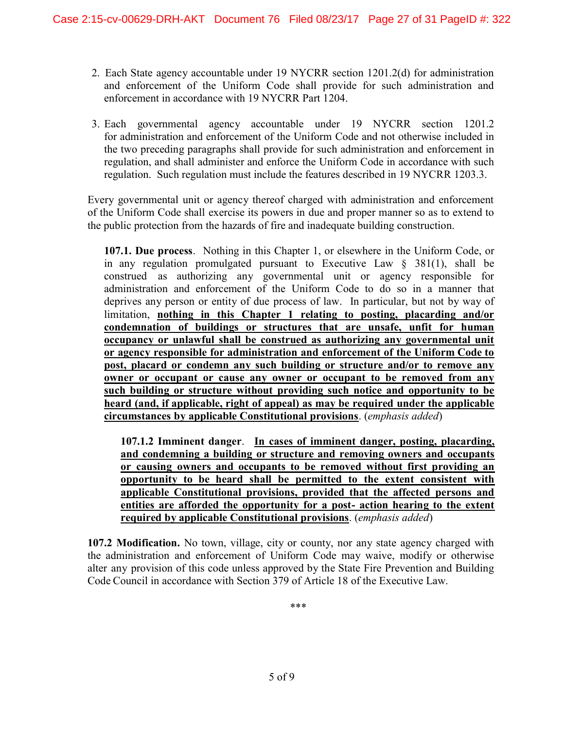- 2. Each State agency accountable under 19 NYCRR section 1201.2(d) for administration and enforcement of the Uniform Code shall provide for such administration and enforcement in accordance with 19 NYCRR Part 1204.
- 3. Each governmental agency accountable under 19 NYCRR section 1201.2 for administration and enforcement of the Uniform Code and not otherwise included in the two preceding paragraphs shall provide for such administration and enforcement in regulation, and shall administer and enforce the Uniform Code in accordance with such regulation. Such regulation must include the features described in 19 NYCRR 1203.3.

Every governmental unit or agency thereof charged with administration and enforcement of the Uniform Code shall exercise its powers in due and proper manner so as to extend to the public protection from the hazards of fire and inadequate building construction.

107.1. Due process. Nothing in this Chapter 1, or elsewhere in the Uniform Code, or in any regulation promulgated pursuant to Executive Law  $\S$  381(1), shall be construed as authorizing any governmental unit or agency responsible for administration and enforcement of the Uniform Code to do so in a manner that deprives any person or entity of due process of law. In particular, but not by way of limitation, nothing in this Chapter 1 relating to posting, placarding and/or condemnation of buildings or structures that are unsafe, unfit for human occupancy or unlawful shall be construed as authorizing any governmental unit or agency responsible for administration and enforcement of the Uniform Code to post, placard or condemn any such building or structure and/or to remove any owner or occupant or cause any owner or occupant to be removed from any such building or structure without providing such notice and opportunity to be heard (and, if applicable, right of appeal) as may be required under the applicable circumstances by applicable Constitutional provisions. (emphasis added)

107.1.2 Imminent danger. In cases of imminent danger, posting, placarding, and condemning a building or structure and removing owners and occupants or causing owners and occupants to be removed without first providing an opportunity to be heard shall be permitted to the extent consistent with applicable Constitutional provisions, provided that the affected persons and entities are afforded the opportunity for a post- action hearing to the extent required by applicable Constitutional provisions. (emphasis added)

107.2 Modification. No town, village, city or county, nor any state agency charged with the administration and enforcement of Uniform Code may waive, modify or otherwise alter any provision of this code unless approved by the State Fire Prevention and Building Code Council in accordance with Section 379 of Article 18 of the Executive Law.

\*\*\*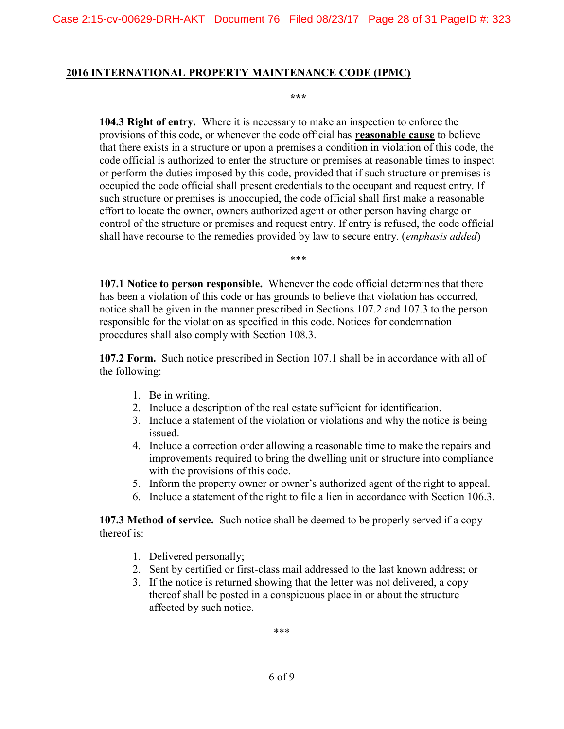#### 2016 INTERNATIONAL PROPERTY MAINTENANCE CODE (IPMC)

\*\*\*

104.3 Right of entry. Where it is necessary to make an inspection to enforce the provisions of this code, or whenever the code official has reasonable cause to believe that there exists in a structure or upon a premises a condition in violation of this code, the code official is authorized to enter the structure or premises at reasonable times to inspect or perform the duties imposed by this code, provided that if such structure or premises is occupied the code official shall present credentials to the occupant and request entry. If such structure or premises is unoccupied, the code official shall first make a reasonable effort to locate the owner, owners authorized agent or other person having charge or control of the structure or premises and request entry. If entry is refused, the code official shall have recourse to the remedies provided by law to secure entry. (*emphasis added*)

\*\*\*

107.1 Notice to person responsible. Whenever the code official determines that there has been a violation of this code or has grounds to believe that violation has occurred, notice shall be given in the manner prescribed in Sections 107.2 and 107.3 to the person responsible for the violation as specified in this code. Notices for condemnation procedures shall also comply with Section 108.3.

107.2 Form. Such notice prescribed in Section 107.1 shall be in accordance with all of the following:

- 1. Be in writing.
- 2. Include a description of the real estate sufficient for identification.
- 3. Include a statement of the violation or violations and why the notice is being issued.
- 4. Include a correction order allowing a reasonable time to make the repairs and improvements required to bring the dwelling unit or structure into compliance with the provisions of this code.
- 5. Inform the property owner or owner's authorized agent of the right to appeal.
- 6. Include a statement of the right to file a lien in accordance with Section 106.3.

107.3 Method of service. Such notice shall be deemed to be properly served if a copy thereof is:

- 1. Delivered personally;
- 2. Sent by certified or first-class mail addressed to the last known address; or
- 3. If the notice is returned showing that the letter was not delivered, a copy thereof shall be posted in a conspicuous place in or about the structure affected by such notice.

\*\*\*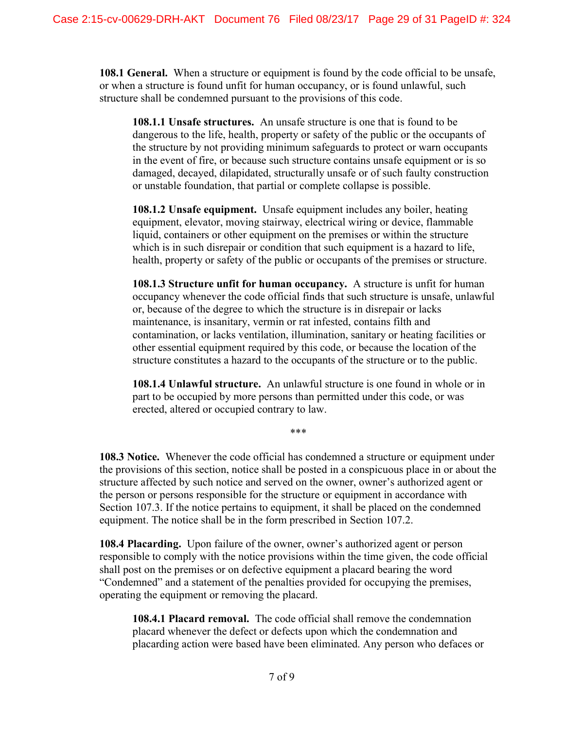108.1 General. When a structure or equipment is found by the code official to be unsafe, or when a structure is found unfit for human occupancy, or is found unlawful, such structure shall be condemned pursuant to the provisions of this code.

108.1.1 Unsafe structures. An unsafe structure is one that is found to be dangerous to the life, health, property or safety of the public or the occupants of the structure by not providing minimum safeguards to protect or warn occupants in the event of fire, or because such structure contains unsafe equipment or is so damaged, decayed, dilapidated, structurally unsafe or of such faulty construction or unstable foundation, that partial or complete collapse is possible.

108.1.2 Unsafe equipment. Unsafe equipment includes any boiler, heating equipment, elevator, moving stairway, electrical wiring or device, flammable liquid, containers or other equipment on the premises or within the structure which is in such disrepair or condition that such equipment is a hazard to life, health, property or safety of the public or occupants of the premises or structure.

108.1.3 Structure unfit for human occupancy. A structure is unfit for human occupancy whenever the code official finds that such structure is unsafe, unlawful or, because of the degree to which the structure is in disrepair or lacks maintenance, is insanitary, vermin or rat infested, contains filth and contamination, or lacks ventilation, illumination, sanitary or heating facilities or other essential equipment required by this code, or because the location of the structure constitutes a hazard to the occupants of the structure or to the public.

108.1.4 Unlawful structure. An unlawful structure is one found in whole or in part to be occupied by more persons than permitted under this code, or was erected, altered or occupied contrary to law.

\*\*\*

108.3 Notice. Whenever the code official has condemned a structure or equipment under the provisions of this section, notice shall be posted in a conspicuous place in or about the structure affected by such notice and served on the owner, owner's authorized agent or the person or persons responsible for the structure or equipment in accordance with Section 107.3. If the notice pertains to equipment, it shall be placed on the condemned equipment. The notice shall be in the form prescribed in Section 107.2.

108.4 Placarding. Upon failure of the owner, owner's authorized agent or person responsible to comply with the notice provisions within the time given, the code official shall post on the premises or on defective equipment a placard bearing the word "Condemned" and a statement of the penalties provided for occupying the premises, operating the equipment or removing the placard.

108.4.1 Placard removal. The code official shall remove the condemnation placard whenever the defect or defects upon which the condemnation and placarding action were based have been eliminated. Any person who defaces or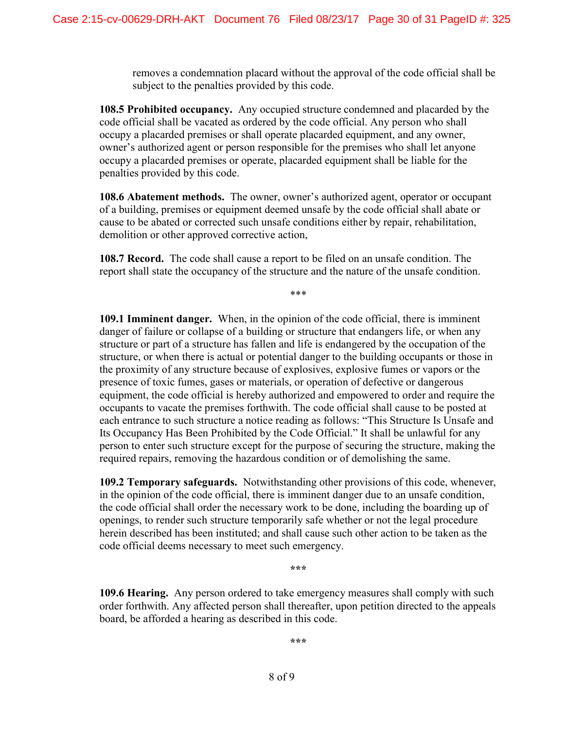removes a condemnation placard without the approval of the code official shall be subject to the penalties provided by this code.

108.5 Prohibited occupancy. Any occupied structure condemned and placarded by the code official shall be vacated as ordered by the code official. Any person who shall occupy a placarded premises or shall operate placarded equipment, and any owner, owner's authorized agent or person responsible for the premises who shall let anyone occupy a placarded premises or operate, placarded equipment shall be liable for the penalties provided by this code.

108.6 Abatement methods. The owner, owner's authorized agent, operator or occupant of a building, premises or equipment deemed unsafe by the code official shall abate or cause to be abated or corrected such unsafe conditions either by repair, rehabilitation, demolition or other approved corrective action,

108.7 Record. The code shall cause a report to be filed on an unsafe condition. The report shall state the occupancy of the structure and the nature of the unsafe condition.

\*\*\*

109.1 Imminent danger. When, in the opinion of the code official, there is imminent danger of failure or collapse of a building or structure that endangers life, or when any structure or part of a structure has fallen and life is endangered by the occupation of the structure, or when there is actual or potential danger to the building occupants or those in the proximity of any structure because of explosives, explosive fumes or vapors or the presence of toxic fumes, gases or materials, or operation of defective or dangerous equipment, the code official is hereby authorized and empowered to order and require the occupants to vacate the premises forthwith. The code official shall cause to be posted at each entrance to such structure a notice reading as follows: "This Structure Is Unsafe and Its Occupancy Has Been Prohibited by the Code Official." It shall be unlawful for any person to enter such structure except for the purpose of securing the structure, making the required repairs, removing the hazardous condition or of demolishing the same.

109.2 Temporary safeguards. Notwithstanding other provisions of this code, whenever, in the opinion of the code official, there is imminent danger due to an unsafe condition, the code official shall order the necessary work to be done, including the boarding up of openings, to render such structure temporarily safe whether or not the legal procedure herein described has been instituted; and shall cause such other action to be taken as the code official deems necessary to meet such emergency.

\*\*\*

109.6 Hearing. Any person ordered to take emergency measures shall comply with such order forthwith. Any affected person shall thereafter, upon petition directed to the appeals board, be afforded a hearing as described in this code.

\*\*\*